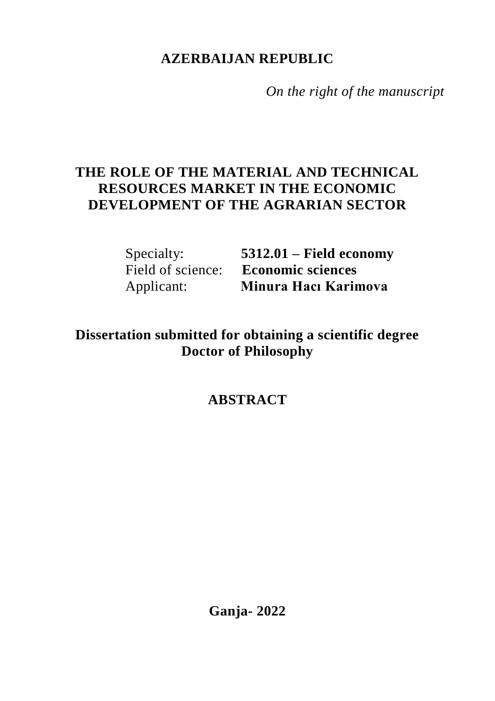## **AZERBAIJAN REPUBLIC**

*On the right of the manuscript*

## **THE ROLE OF THE MATERIAL AND TECHNICAL RESOURCES MARKET IN THE ECONOMIC DEVELOPMENT OF THE AGRARIAN SECTOR**

Specialty: **5312.01 – Field economy** Field of science: **Economic sciences** Applicant: **Minura Hacı Karimova**

# **Dissertation submitted for obtaining a scientific degree Doctor of Philosophy**

# **ABSTRACT**

**Ganja- 2022**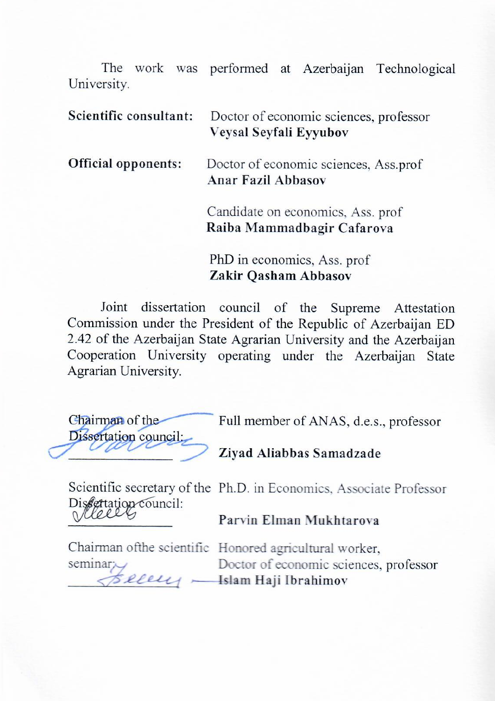The work was performed at Azerbaijan Technological University.

| Scientific consultant:     | Doctor of economic sciences, professor<br>Veysal Seyfali Eyyubov |
|----------------------------|------------------------------------------------------------------|
| <b>Official opponents:</b> | Doctor of economic sciences, Ass.prof<br>Anar Fazil Abbasov      |
|                            | Candidate on economics, Ass. prof.<br>Raiba Mammadbagir Cafarova |
|                            | PhD in economics, Ass. prof.                                     |

**Zakir Qasham Abbasov**

Joint dissertation council of the Supreme Attestation Commission under the President of the Republic of Azerbaijan ED 2.42 of the Azerbaijan State Agrarian University and the Azerbaijan Cooperation University operating under the Azerbaijan State Agrarian University.

| Chairman of the       |  |
|-----------------------|--|
| Dissertation council: |  |
|                       |  |

Full member of ANAS, d.e.s., professor

**Ziyad Aliabbas Samadzade**

Scientific secretary of the Ph.D. in Economics, Associate Professor Dis*extation* council: **\_\_\_\_\_\_\_\_\_\_\_\_\_\_\_**

**Parvin Elman Mukhtarova**

Chairman of the scientific Honored agricultural worker seminar:

\_\_\_\_\_\_\_\_\_\_\_\_\_\_\_\_ **Islam Haji Ibrahimov**Doctor of economic sciences, professor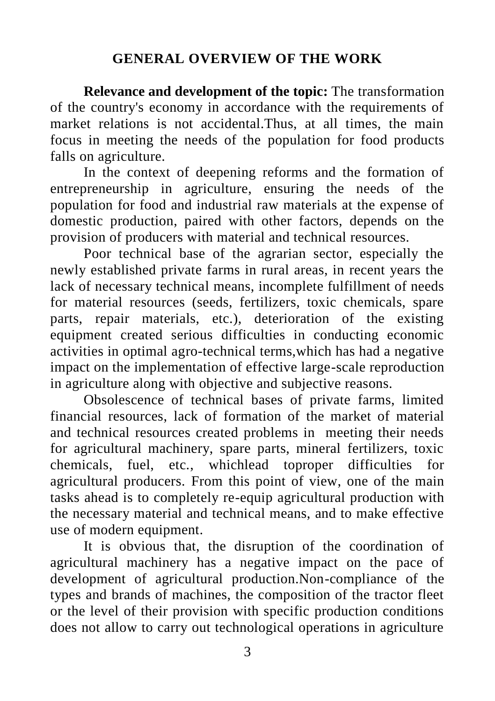## **GENERAL OVERVIEW OF THE WORK**

**Relevance and development of the topic:** The transformation of the country's economy in accordance with the requirements of market relations is not accidental.Thus, at all times, the main focus in meeting the needs of the population for food products falls on agriculture.

In the context of deepening reforms and the formation of entrepreneurship in agriculture, ensuring the needs of the population for food and industrial raw materials at the expense of domestic production, paired with other factors, depends on the provision of producers with material and technical resources.

Poor technical base of the agrarian sector, especially the newly established private farms in rural areas, in recent years the lack of necessary technical means, incomplete fulfillment of needs for material resources (seeds, fertilizers, toxic chemicals, spare parts, repair materials, etc.), deterioration of the existing equipment created serious difficulties in conducting economic activities in optimal agro-technical terms,which has had a negative impact on the implementation of effective large-scale reproduction in agriculture along with objective and subjective reasons.

Obsolescence of technical bases of private farms, limited financial resources, lack of formation of the market of material and technical resources created problems in meeting their needs for agricultural machinery, spare parts, mineral fertilizers, toxic chemicals, fuel, etc., whichlead toproper difficulties for agricultural producers. From this point of view, one of the main tasks ahead is to completely re-equip agricultural production with the necessary material and technical means, and to make effective use of modern equipment.

It is obvious that, the disruption of the coordination of agricultural machinery has a negative impact on the pace of development of agricultural production.Non-compliance of the types and brands of machines, the composition of the tractor fleet or the level of their provision with specific production conditions does not allow to carry out technological operations in agriculture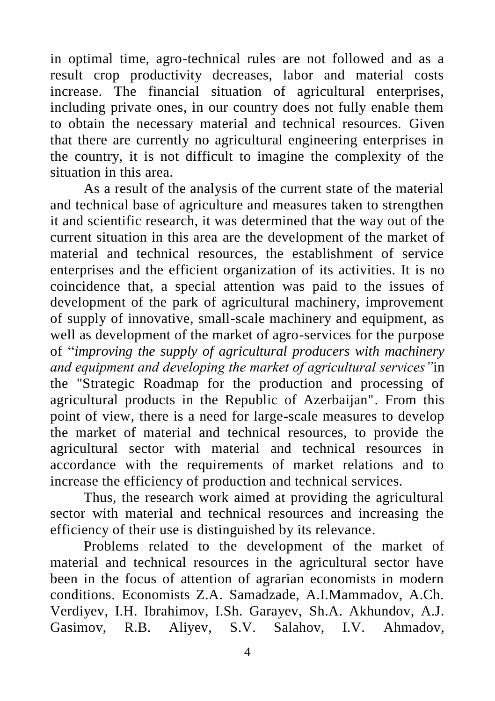in optimal time, agro-technical rules are not followed and as a result crop productivity decreases, labor and material costs increase. The financial situation of agricultural enterprises, including private ones, in our country does not fully enable them to obtain the necessary material and technical resources. Given that there are currently no agricultural engineering enterprises in the country, it is not difficult to imagine the complexity of the situation in this area.

As a result of the analysis of the current state of the material and technical base of agriculture and measures taken to strengthen it and scientific research, it was determined that the way out of the current situation in this area are the development of the market of material and technical resources, the establishment of service enterprises and the efficient organization of its activities. It is no coincidence that, a special attention was paid to the issues of development of the park of agricultural machinery, improvement of supply of innovative, small-scale machinery and equipment, as well as development of the market of agro-services for the purpose of "*improving the supply of agricultural producers with machinery and equipment and developing the market of agricultural services"*in the "Strategic Roadmap for the production and processing of agricultural products in the Republic of Azerbaijan". From this point of view, there is a need for large-scale measures to develop the market of material and technical resources, to provide the agricultural sector with material and technical resources in accordance with the requirements of market relations and to increase the efficiency of production and technical services.

Thus, the research work aimed at providing the agricultural sector with material and technical resources and increasing the efficiency of their use is distinguished by its relevance.

Problems related to the development of the market of material and technical resources in the agricultural sector have been in the focus of attention of agrarian economists in modern conditions. Economists Z.A. Samadzade, A.I.Mammadov, A.Ch. Verdiyev, I.H. Ibrahimov, I.Sh. Garayev, Sh.A. Akhundov, A.J. Gasimov, R.B. Aliyev, S.V. Salahov, I.V. Ahmadov,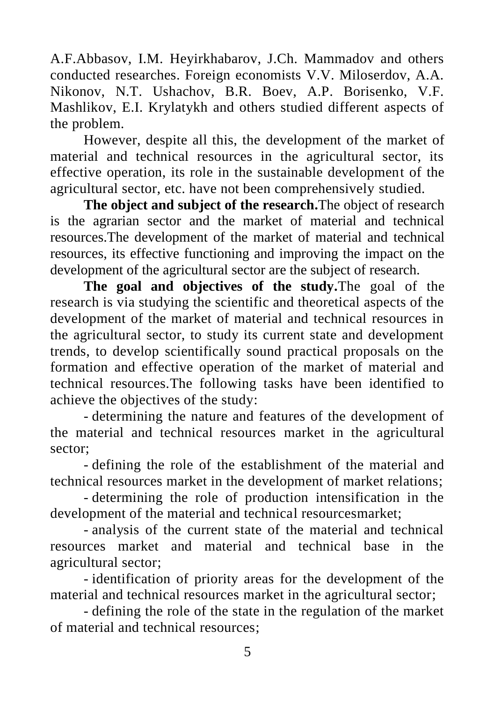A.F.Abbasov, I.M. Heyirkhabarov, J.Ch. Mammadov and others conducted researches. Foreign economists V.V. Miloserdov, A.A. Nikonov, N.T. Ushachov, B.R. Boev, A.P. Borisenko, V.F. Mashlikov, E.I. Krylatykh and others studied different aspects of the problem.

However, despite all this, the development of the market of material and technical resources in the agricultural sector, its effective operation, its role in the sustainable development of the agricultural sector, etc. have not been comprehensively studied.

**The object and subject of the research.**The object of research is the agrarian sector and the market of material and technical resources.The development of the market of material and technical resources, its effective functioning and improving the impact on the development of the agricultural sector are the subject of research.

**The goal and objectives of the study.**The goal of the research is via studying the scientific and theoretical aspects of the development of the market of material and technical resources in the agricultural sector, to study its current state and development trends, to develop scientifically sound practical proposals on the formation and effective operation of the market of material and technical resources.The following tasks have been identified to achieve the objectives of the study:

- determining the nature and features of the development of the material and technical resources market in the agricultural sector;

- defining the role of the establishment of the material and technical resources market in the development of market relations;

- determining the role of production intensification in the development of the material and technical resourcesmarket;

- analysis of the current state of the material and technical resources market and material and technical base in the agricultural sector;

- identification of priority areas for the development of the material and technical resources market in the agricultural sector;

- defining the role of the state in the regulation of the market of material and technical resources;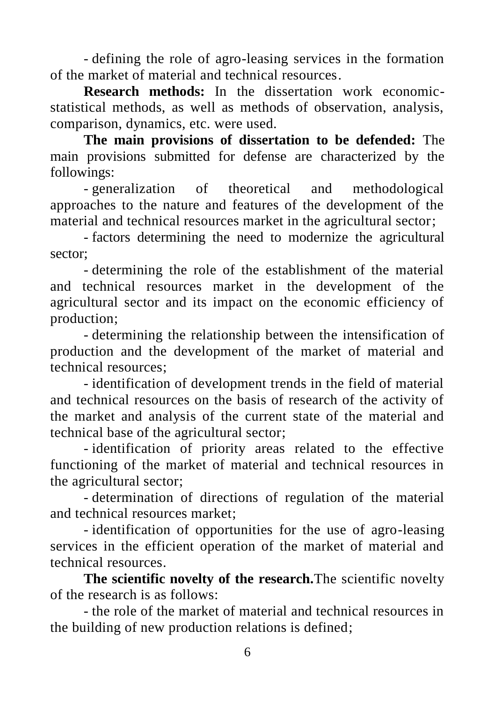- defining the role of agro-leasing services in the formation of the market of material and technical resources.

**Research methods:** In the dissertation work economicstatistical methods, as well as methods of observation, analysis, comparison, dynamics, etc. were used.

**The main provisions of dissertation to be defended:** The main provisions submitted for defense are characterized by the followings:

- generalization of theoretical and methodological approaches to the nature and features of the development of the material and technical resources market in the agricultural sector;

- factors determining the need to modernize the agricultural sector;

- determining the role of the establishment of the material and technical resources market in the development of the agricultural sector and its impact on the economic efficiency of production;

- determining the relationship between the intensification of production and the development of the market of material and technical resources;

- identification of development trends in the field of material and technical resources on the basis of research of the activity of the market and analysis of the current state of the material and technical base of the agricultural sector;

- identification of priority areas related to the effective functioning of the market of material and technical resources in the agricultural sector;

- determination of directions of regulation of the material and technical resources market;

- identification of opportunities for the use of agro-leasing services in the efficient operation of the market of material and technical resources.

**The scientific novelty of the research.**The scientific novelty of the research is as follows:

- the role of the market of material and technical resources in the building of new production relations is defined;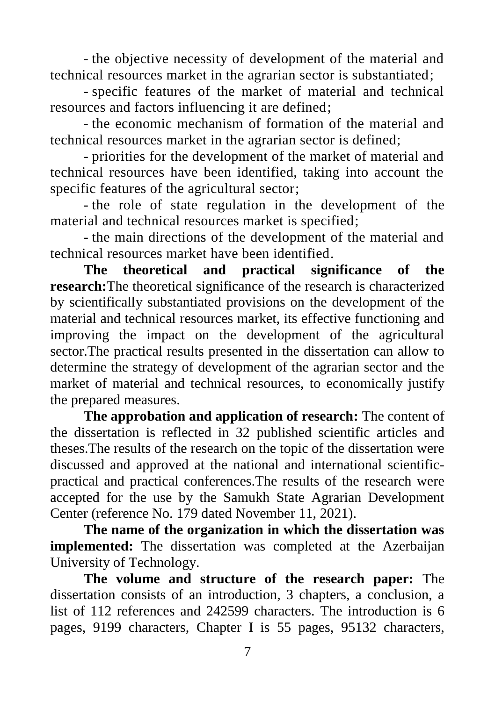- the objective necessity of development of the material and technical resources market in the agrarian sector is substantiated;

- specific features of the market of material and technical resources and factors influencing it are defined;

- the economic mechanism of formation of the material and technical resources market in the agrarian sector is defined;

- priorities for the development of the market of material and technical resources have been identified, taking into account the specific features of the agricultural sector;

- the role of state regulation in the development of the material and technical resources market is specified;

- the main directions of the development of the material and technical resources market have been identified.

**The theoretical and practical significance of the research:**The theoretical significance of the research is characterized by scientifically substantiated provisions on the development of the material and technical resources market, its effective functioning and improving the impact on the development of the agricultural sector.The practical results presented in the dissertation can allow to determine the strategy of development of the agrarian sector and the market of material and technical resources, to economically justify the prepared measures.

**The approbation and application of research:** The content of the dissertation is reflected in 32 published scientific articles and theses.The results of the research on the topic of the dissertation were discussed and approved at the national and international scientificpractical and practical conferences.The results of the research were accepted for the use by the Samukh State Agrarian Development Center (reference No. 179 dated November 11, 2021).

**The name of the organization in which the dissertation was implemented:** The dissertation was completed at the Azerbaijan University of Technology.

**The volume and structure of the research paper:** The dissertation consists of an introduction, 3 chapters, a conclusion, a list of 112 references and 242599 characters. The introduction is 6 pages, 9199 characters, Chapter I is 55 pages, 95132 characters,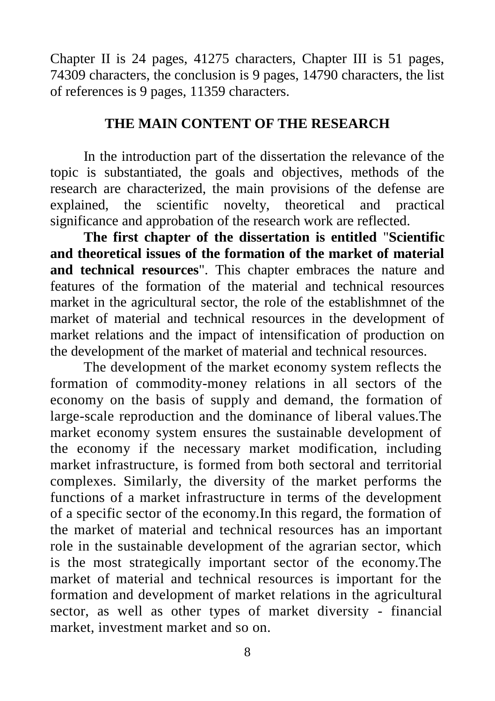Chapter II is 24 pages, 41275 characters, Chapter III is 51 pages, 74309 characters, the conclusion is 9 pages, 14790 characters, the list of references is 9 pages, 11359 characters.

#### **THE MAIN CONTENT OF THE RESEARCH**

In the introduction part of the dissertation the relevance of the topic is substantiated, the goals and objectives, methods of the research are characterized, the main provisions of the defense are explained, the scientific novelty, theoretical and practical significance and approbation of the research work are reflected.

**The first chapter of the dissertation is entitled** "**Scientific and theoretical issues of the formation of the market of material and technical resources**". This chapter embraces the nature and features of the formation of the material and technical resources market in the agricultural sector, the role of the establishmnet of the market of material and technical resources in the development of market relations and the impact of intensification of production on the development of the market of material and technical resources.

The development of the market economy system reflects the formation of commodity-money relations in all sectors of the economy on the basis of supply and demand, the formation of large-scale reproduction and the dominance of liberal values.The market economy system ensures the sustainable development of the economy if the necessary market modification, including market infrastructure, is formed from both sectoral and territorial complexes. Similarly, the diversity of the market performs the functions of a market infrastructure in terms of the development of a specific sector of the economy.In this regard, the formation of the market of material and technical resources has an important role in the sustainable development of the agrarian sector, which is the most strategically important sector of the economy.The market of material and technical resources is important for the formation and development of market relations in the agricultural sector, as well as other types of market diversity - financial market, investment market and so on.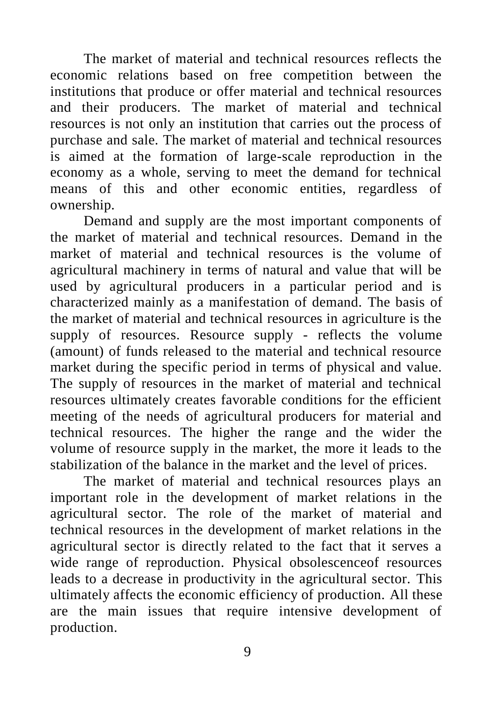The market of material and technical resources reflects the economic relations based on free competition between the institutions that produce or offer material and technical resources and their producers. The market of material and technical resources is not only an institution that carries out the process of purchase and sale. The market of material and technical resources is aimed at the formation of large-scale reproduction in the economy as a whole, serving to meet the demand for technical means of this and other economic entities, regardless of ownership.

Demand and supply are the most important components of the market of material and technical resources. Demand in the market of material and technical resources is the volume of agricultural machinery in terms of natural and value that will be used by agricultural producers in a particular period and is characterized mainly as a manifestation of demand. The basis of the market of material and technical resources in agriculture is the supply of resources. Resource supply - reflects the volume (amount) of funds released to the material and technical resource market during the specific period in terms of physical and value. The supply of resources in the market of material and technical resources ultimately creates favorable conditions for the efficient meeting of the needs of agricultural producers for material and technical resources. The higher the range and the wider the volume of resource supply in the market, the more it leads to the stabilization of the balance in the market and the level of prices.

The market of material and technical resources plays an important role in the development of market relations in the agricultural sector. The role of the market of material and technical resources in the development of market relations in the agricultural sector is directly related to the fact that it serves a wide range of reproduction. Physical obsolescenceof resources leads to a decrease in productivity in the agricultural sector. This ultimately affects the economic efficiency of production. All these are the main issues that require intensive development of production.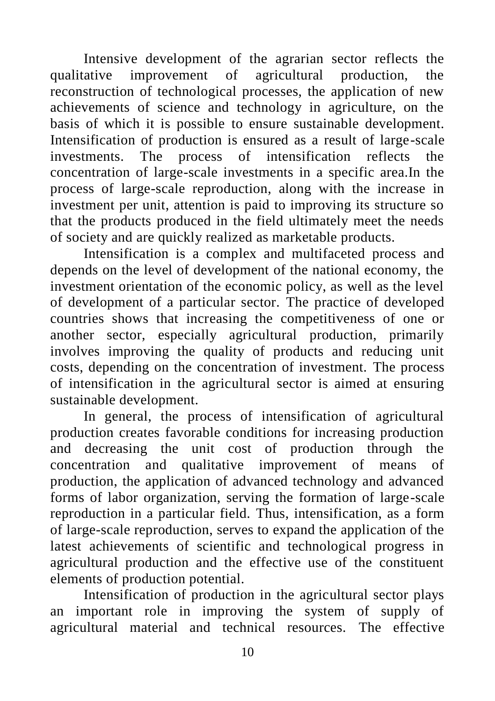Intensive development of the agrarian sector reflects the qualitative improvement of agricultural production, the reconstruction of technological processes, the application of new achievements of science and technology in agriculture, on the basis of which it is possible to ensure sustainable development. Intensification of production is ensured as a result of large-scale investments. The process of intensification reflects the concentration of large-scale investments in a specific area.In the process of large-scale reproduction, along with the increase in investment per unit, attention is paid to improving its structure so that the products produced in the field ultimately meet the needs of society and are quickly realized as marketable products.

Intensification is a complex and multifaceted process and depends on the level of development of the national economy, the investment orientation of the economic policy, as well as the level of development of a particular sector. The practice of developed countries shows that increasing the competitiveness of one or another sector, especially agricultural production, primarily involves improving the quality of products and reducing unit costs, depending on the concentration of investment. The process of intensification in the agricultural sector is aimed at ensuring sustainable development.

In general, the process of intensification of agricultural production creates favorable conditions for increasing production and decreasing the unit cost of production through the concentration and qualitative improvement of means of production, the application of advanced technology and advanced forms of labor organization, serving the formation of large-scale reproduction in a particular field. Thus, intensification, as a form of large-scale reproduction, serves to expand the application of the latest achievements of scientific and technological progress in agricultural production and the effective use of the constituent elements of production potential.

Intensification of production in the agricultural sector plays an important role in improving the system of supply of agricultural material and technical resources. The effective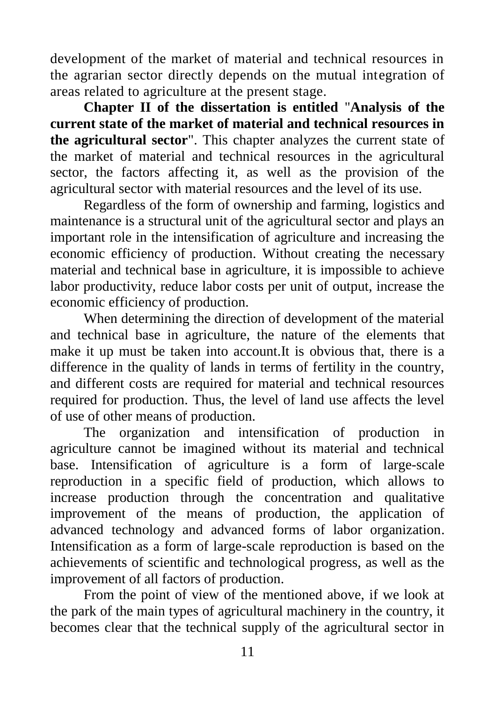development of the market of material and technical resources in the agrarian sector directly depends on the mutual integration of areas related to agriculture at the present stage.

**Chapter II of the dissertation is entitled** "**Analysis of the current state of the market of material and technical resources in the agricultural sector**". This chapter analyzes the current state of the market of material and technical resources in the agricultural sector, the factors affecting it, as well as the provision of the agricultural sector with material resources and the level of its use.

Regardless of the form of ownership and farming, logistics and maintenance is a structural unit of the agricultural sector and plays an important role in the intensification of agriculture and increasing the economic efficiency of production. Without creating the necessary material and technical base in agriculture, it is impossible to achieve labor productivity, reduce labor costs per unit of output, increase the economic efficiency of production.

When determining the direction of development of the material and technical base in agriculture, the nature of the elements that make it up must be taken into account.It is obvious that, there is a difference in the quality of lands in terms of fertility in the country, and different costs are required for material and technical resources required for production. Thus, the level of land use affects the level of use of other means of production.

The organization and intensification of production in agriculture cannot be imagined without its material and technical base. Intensification of agriculture is a form of large-scale reproduction in a specific field of production, which allows to increase production through the concentration and qualitative improvement of the means of production, the application of advanced technology and advanced forms of labor organization. Intensification as a form of large-scale reproduction is based on the achievements of scientific and technological progress, as well as the improvement of all factors of production.

From the point of view of the mentioned above, if we look at the park of the main types of agricultural machinery in the country, it becomes clear that the technical supply of the agricultural sector in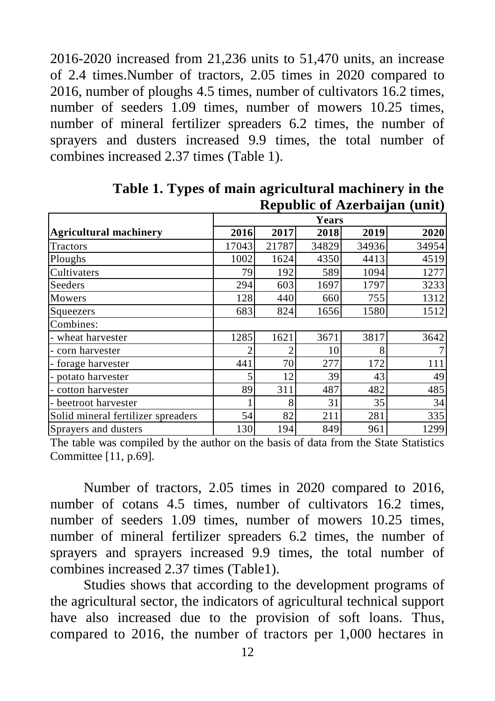2016-2020 increased from 21,236 units to 51,470 units, an increase of 2.4 times.Number of tractors, 2.05 times in 2020 compared to 2016, number of ploughs 4.5 times, number of cultivators 16.2 times, number of seeders 1.09 times, number of mowers 10.25 times, number of mineral fertilizer spreaders 6.2 times, the number of sprayers and dusters increased 9.9 times, the total number of combines increased 2.37 times (Table 1).

|                                    | Years |       |       |       |       |  |  |
|------------------------------------|-------|-------|-------|-------|-------|--|--|
| <b>Agricultural machinery</b>      | 2016  | 2017  | 2018  | 2019  | 2020  |  |  |
| Tractors                           | 17043 | 21787 | 34829 | 34936 | 34954 |  |  |
| Ploughs                            | 1002  | 1624  | 4350  | 4413  | 4519  |  |  |
| Cultivaters                        | 79    | 192   | 589   | 1094  | 1277  |  |  |
| Seeders                            | 294   | 603   | 1697  | 1797  | 3233  |  |  |
| Mowers                             | 128   | 440   | 660   | 755   | 1312  |  |  |
| Squeezers                          | 683   | 824   | 1656  | 1580  | 1512  |  |  |
| Combines:                          |       |       |       |       |       |  |  |
| - wheat harvester                  | 1285  | 1621  | 3671  | 3817  | 3642  |  |  |
| - corn harvester                   |       | 2     | 10    | 8     |       |  |  |
| - forage harvester                 | 441   | 70    | 277   | 172   | 111   |  |  |
| - potato harvester                 |       | 12    | 39    | 43    | 49    |  |  |
| - cotton harvester                 | 89    | 311   | 487   | 482   | 485   |  |  |
| beetroot harvester                 |       | 8     | 31    | 35    | 34    |  |  |
| Solid mineral fertilizer spreaders | 54    | 82    | 211   | 281   | 335   |  |  |
| Sprayers and dusters               | 130   | 194   | 849   | 961   | 1299  |  |  |

**Table 1. Types of main agricultural machinery in the Republic of Azerbaijan (unit)**

The table was compiled by the author on the basis of data from the State Statistics Committee [11, p.69].

Number of tractors, 2.05 times in 2020 compared to 2016, number of cotans 4.5 times, number of cultivators 16.2 times, number of seeders 1.09 times, number of mowers 10.25 times, number of mineral fertilizer spreaders 6.2 times, the number of sprayers and sprayers increased 9.9 times, the total number of combines increased 2.37 times (Table1).

Studies shows that according to the development programs of the agricultural sector, the indicators of agricultural technical support have also increased due to the provision of soft loans. Thus, compared to 2016, the number of tractors per 1,000 hectares in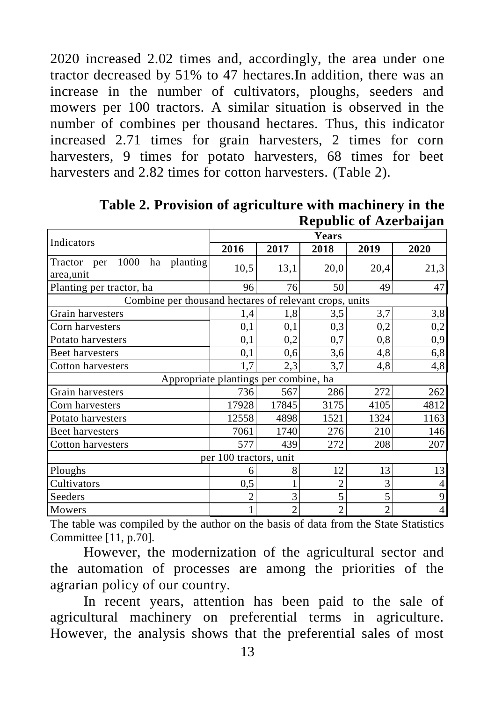2020 increased 2.02 times and, accordingly, the area under one tractor decreased by 51% to 47 hectares.In addition, there was an increase in the number of cultivators, ploughs, seeders and mowers per 100 tractors. A similar situation is observed in the number of combines per thousand hectares. Thus, this indicator increased 2.71 times for grain harvesters, 2 times for corn harvesters, 9 times for potato harvesters, 68 times for beet harvesters and 2.82 times for cotton harvesters. (Table 2).

|                                    | <b>Years</b>                                           |                |                |                |                |  |  |  |  |
|------------------------------------|--------------------------------------------------------|----------------|----------------|----------------|----------------|--|--|--|--|
| Indicators                         | 2016                                                   | 2017           | 2018           | 2019           | 2020           |  |  |  |  |
| 1000 ha planting<br>Tractor<br>per | 10,5                                                   | 13,1           | 20,0           | 20,4           | 21,3           |  |  |  |  |
| area,unit                          |                                                        |                |                |                |                |  |  |  |  |
| Planting per tractor, ha           | 96                                                     | 76             | 49             | 47             |                |  |  |  |  |
|                                    | Combine per thousand hectares of relevant crops, units |                |                |                |                |  |  |  |  |
| Grain harvesters                   | 1,4                                                    | 3,5<br>1,8     |                | 3,7<br>3,8     |                |  |  |  |  |
| Corn harvesters                    | 0,1                                                    | 0,1            | 0,3            | 0,2            |                |  |  |  |  |
| Potato harvesters                  | 0,1                                                    | 0,2            | 0,7            | 0,8            |                |  |  |  |  |
| Beet harvesters                    | 0,1                                                    | 0,6            | 3,6            | 4,8            | 6,8            |  |  |  |  |
| Cotton harvesters                  | 1,7                                                    | 2,3            | 3,7            | 4,8            | 4,8            |  |  |  |  |
|                                    | Appropriate plantings per combine, ha                  |                |                |                |                |  |  |  |  |
| Grain harvesters                   | 736                                                    | 567            | 286            | 272            | 262            |  |  |  |  |
| Corn harvesters                    | 17928                                                  | 17845          | 3175           | 4105           | 4812           |  |  |  |  |
| Potato harvesters                  | 12558                                                  | 4898           | 1521<br>1324   |                | 1163           |  |  |  |  |
| Beet harvesters                    | 7061                                                   | 1740           | 276            | 210            | 146            |  |  |  |  |
| Cotton harvesters                  | 577                                                    | 439            | 272            | 208            | 207            |  |  |  |  |
|                                    | per 100 tractors, unit                                 |                |                |                |                |  |  |  |  |
| Ploughs                            | 6                                                      | 8              | 12             | 13             | 13             |  |  |  |  |
| Cultivators                        | 0,5                                                    |                | $\overline{2}$ |                | 4              |  |  |  |  |
| Seeders                            | $\overline{2}$                                         | 3              | 5              | 5              | 9              |  |  |  |  |
| Mowers                             | 1                                                      | $\overline{c}$ | $\overline{c}$ | $\overline{c}$ | $\overline{4}$ |  |  |  |  |

**Table 2. Provision of agriculture with machinery in the Republic of Azerbaijan**

The table was compiled by the author on the basis of data from the State Statistics Committee [11, p.70].

However, the modernization of the agricultural sector and the automation of processes are among the priorities of the agrarian policy of our country.

In recent years, attention has been paid to the sale of agricultural machinery on preferential terms in agriculture. However, the analysis shows that the preferential sales of most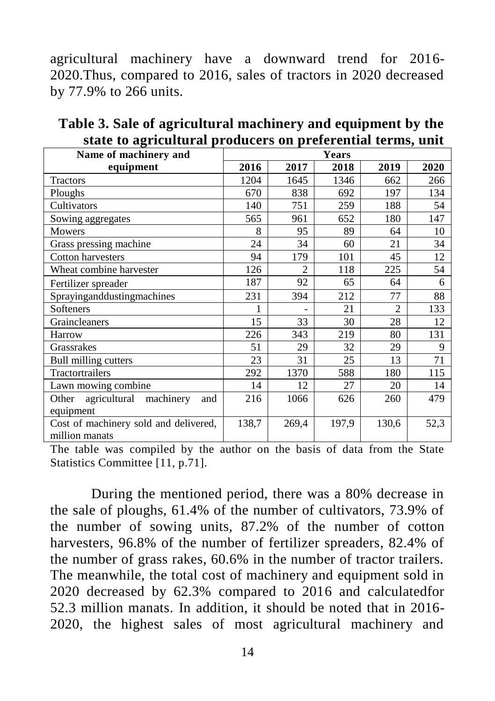agricultural machinery have a downward trend for 2016- 2020.Thus, compared to 2016, sales of tractors in 2020 decreased by 77.9% to 266 units.

| Name of machinery and                                   | state to agriculturar proudells on preferential terms, anno<br>Years |                |       |                |      |
|---------------------------------------------------------|----------------------------------------------------------------------|----------------|-------|----------------|------|
| equipment                                               | 2016                                                                 | 2017           | 2018  | 2019           | 2020 |
| Tractors                                                | 1204                                                                 | 1645           | 1346  | 662            | 266  |
| Ploughs                                                 | 670                                                                  | 838            | 692   | 197            | 134  |
| Cultivators                                             | 140                                                                  | 751            | 259   | 188            | 54   |
| Sowing aggregates                                       | 565                                                                  | 961            | 652   | 180            | 147  |
| Mowers                                                  | 8                                                                    | 95             | 89    | 64             | 10   |
| Grass pressing machine                                  | 24                                                                   | 34             | 60    | 21             | 34   |
| Cotton harvesters                                       | 94                                                                   | 179            | 101   | 45             | 12   |
| Wheat combine harvester                                 | 126                                                                  | $\mathfrak{D}$ | 118   | 225            | 54   |
| Fertilizer spreader                                     | 187                                                                  | 92             | 65    | 64             | 6    |
| Sprayinganddustingmachines                              | 231                                                                  | 394            | 212   | 77             | 88   |
| Softeners                                               |                                                                      |                | 21    | $\mathfrak{D}$ | 133  |
| Graincleaners                                           | 15                                                                   | 33             | 30    | 28             | 12   |
| Harrow                                                  | 226                                                                  | 343            | 219   | 80             | 131  |
| Grassrakes                                              | 51                                                                   | 29             | 32    | 29             | 9    |
| Bull milling cutters                                    | 23                                                                   | 31             | 25    | 13             | 71   |
| Tractortrailers                                         | 292                                                                  | 1370           | 588   | 180            | 115  |
| Lawn mowing combine                                     | 14                                                                   | 12             | 27    | 20             | 14   |
| agricultural machinery<br>Other<br>and<br>equipment     | 216                                                                  | 1066           | 626   | 260            | 479  |
| Cost of machinery sold and delivered,<br>million manats | 138,7                                                                | 269,4          | 197,9 | 130,6          | 52,3 |

**Table 3. Sale of agricultural machinery and equipment by the state to agricultural producers on preferential terms, unit**

The table was compiled by the author on the basis of data from the State Statistics Committee [11, p.71].

During the mentioned period, there was a 80% decrease in the sale of ploughs, 61.4% of the number of cultivators, 73.9% of the number of sowing units, 87.2% of the number of cotton harvesters, 96.8% of the number of fertilizer spreaders, 82.4% of the number of grass rakes, 60.6% in the number of tractor trailers. The meanwhile, the total cost of machinery and equipment sold in 2020 decreased by 62.3% compared to 2016 and calculatedfor 52.3 million manats. In addition, it should be noted that in 2016- 2020, the highest sales of most agricultural machinery and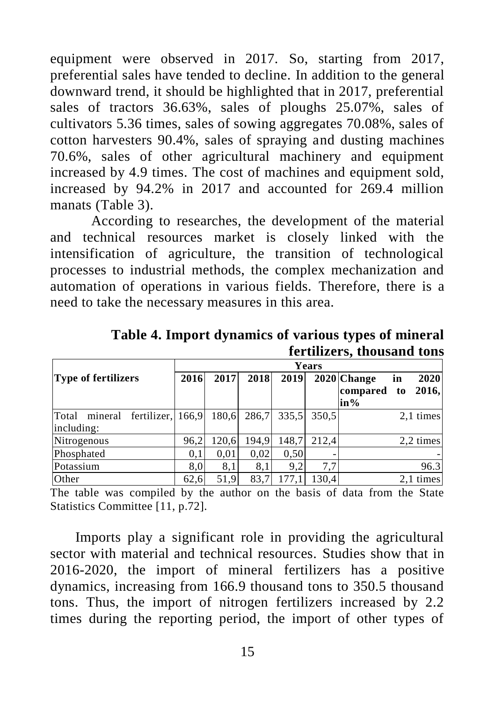equipment were observed in 2017. So, starting from 2017, preferential sales have tended to decline. In addition to the general downward trend, it should be highlighted that in 2017, preferential sales of tractors 36.63%, sales of ploughs 25.07%, sales of cultivators 5.36 times, sales of sowing aggregates 70.08%, sales of cotton harvesters 90.4%, sales of spraying and dusting machines 70.6%, sales of other agricultural machinery and equipment increased by 4.9 times. The cost of machines and equipment sold, increased by 94.2% in 2017 and accounted for 269.4 million manats (Table 3).

According to researches, the development of the material and technical resources market is closely linked with the intensification of agriculture, the transition of technological processes to industrial methods, the complex mechanization and automation of operations in various fields. Therefore, there is a need to take the necessary measures in this area.

|                                                     | Years |       |       |       |       |                                   |          |               |  |
|-----------------------------------------------------|-------|-------|-------|-------|-------|-----------------------------------|----------|---------------|--|
| <b>Type of fertilizers</b>                          | 2016  | 2017  | 2018  | 2019  |       | 2020 Change<br>compared<br>$in\%$ | in<br>to | 2020<br>2016, |  |
| fertilizer, 166,9<br>Total<br>mineral<br>including: |       | 180,6 | 286,7 | 335.5 | 350.5 |                                   |          | 2,1 times     |  |
| Nitrogenous                                         | 96,2  | 120.6 | 194.9 | 148,7 | 212.4 |                                   |          | 2,2 times     |  |
| Phosphated                                          | 0.1   | 0,01  | 0.02  | 0.50  |       |                                   |          |               |  |
| Potassium                                           | 8.0   | 8,1   | 8,1   | 9.2   | 7.7   |                                   |          | 96.3          |  |
| Other                                               | 62.6  | 51,9  | 83,7  | 177.1 | 130.4 |                                   |          | 2.1 times     |  |

**Table 4. Import dynamics of various types of mineral fertilizers, thousand tons**

The table was compiled by the author on the basis of data from the State Statistics Committee [11, p.72].

Imports play a significant role in providing the agricultural sector with material and technical resources. Studies show that in 2016-2020, the import of mineral fertilizers has a positive dynamics, increasing from 166.9 thousand tons to 350.5 thousand tons. Thus, the import of nitrogen fertilizers increased by 2.2 times during the reporting period, the import of other types of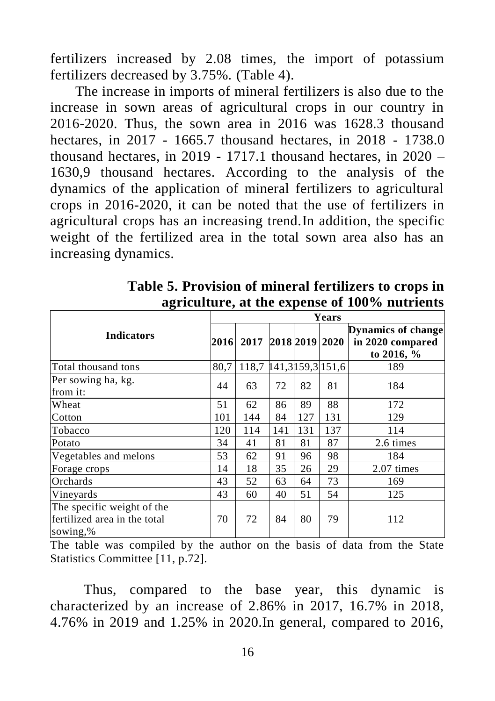fertilizers increased by 2.08 times, the import of potassium fertilizers decreased by 3.75%. (Table 4).

The increase in imports of mineral fertilizers is also due to the increase in sown areas of agricultural crops in our country in 2016-2020. Thus, the sown area in 2016 was 1628.3 thousand hectares, in 2017 - 1665.7 thousand hectares, in 2018 - 1738.0 thousand hectares, in 2019 - 1717.1 thousand hectares, in 2020 – 1630,9 thousand hectares. According to the analysis of the dynamics of the application of mineral fertilizers to agricultural crops in 2016-2020, it can be noted that the use of fertilizers in agricultural crops has an increasing trend.In addition, the specific weight of the fertilized area in the total sown area also has an increasing dynamics.

|                                                                        | Years |                         |     |     |                |                                                               |  |
|------------------------------------------------------------------------|-------|-------------------------|-----|-----|----------------|---------------------------------------------------------------|--|
| <b>Indicators</b>                                                      |       | 2017<br>2016            |     |     | 2018 2019 2020 | <b>Dynamics of change</b><br>in 2020 compared<br>to 2016, $%$ |  |
| Total thousand tons                                                    | 80,7  | 118,7 141,3 159,3 151,6 |     |     |                | 189                                                           |  |
| Per sowing ha, kg.<br>from it:                                         | 44    | 63                      | 72  | 82  | 81             | 184                                                           |  |
| Wheat                                                                  | 51    | 62                      | 86  | 89  | 88             | 172                                                           |  |
| Cotton                                                                 | 101   | 144                     | 84  | 127 | 131            | 129                                                           |  |
| Tobacco                                                                | 120   | 114                     | 141 | 131 | 137            | 114                                                           |  |
| Potato                                                                 | 34    | 41                      | 81  | 81  | 87             | 2.6 times                                                     |  |
| Vegetables and melons                                                  | 53    | 62                      | 91  | 96  | 98             | 184                                                           |  |
| Forage crops                                                           | 14    | 18                      | 35  | 26  | 29             | 2.07 times                                                    |  |
| Orchards                                                               | 43    | 52                      | 63  | 64  | 73             | 169                                                           |  |
| Vineyards                                                              | 43    | 60                      | 40  | 51  | 54             | 125                                                           |  |
| The specific weight of the<br>fertilized area in the total<br>sowing,% | 70    | 72                      | 84  | 80  | 79             | 112                                                           |  |

**Table 5. Provision of mineral fertilizers to crops in agriculture, at the expense of 100% nutrients**

The table was compiled by the author on the basis of data from the State Statistics Committee [11, p.72].

Thus, compared to the base year, this dynamic is characterized by an increase of 2.86% in 2017, 16.7% in 2018, 4.76% in 2019 and 1.25% in 2020.In general, compared to 2016,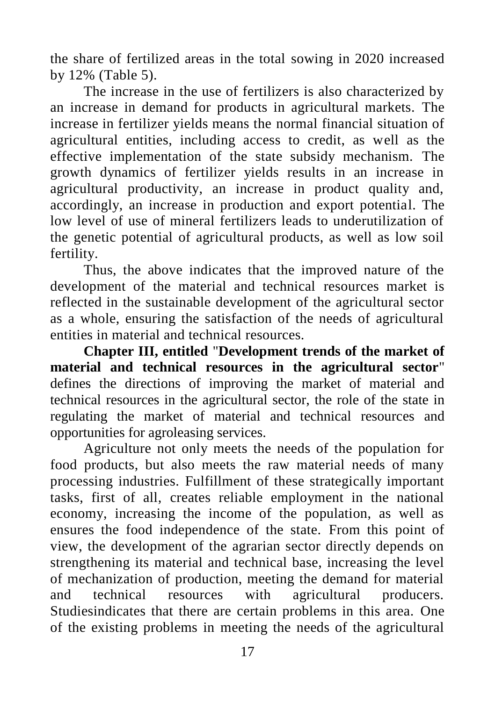the share of fertilized areas in the total sowing in 2020 increased by 12% (Table 5).

The increase in the use of fertilizers is also characterized by an increase in demand for products in agricultural markets. The increase in fertilizer yields means the normal financial situation of agricultural entities, including access to credit, as well as the effective implementation of the state subsidy mechanism. The growth dynamics of fertilizer yields results in an increase in agricultural productivity, an increase in product quality and, accordingly, an increase in production and export potential. The low level of use of mineral fertilizers leads to underutilization of the genetic potential of agricultural products, as well as low soil fertility.

Thus, the above indicates that the improved nature of the development of the material and technical resources market is reflected in the sustainable development of the agricultural sector as a whole, ensuring the satisfaction of the needs of agricultural entities in material and technical resources.

**Chapter III, entitled** "**Development trends of the market of material and technical resources in the agricultural sector**" defines the directions of improving the market of material and technical resources in the agricultural sector, the role of the state in regulating the market of material and technical resources and opportunities for agroleasing services.

Agriculture not only meets the needs of the population for food products, but also meets the raw material needs of many processing industries. Fulfillment of these strategically important tasks, first of all, creates reliable employment in the national economy, increasing the income of the population, as well as ensures the food independence of the state. From this point of view, the development of the agrarian sector directly depends on strengthening its material and technical base, increasing the level of mechanization of production, meeting the demand for material and technical resources with agricultural producers. Studiesindicates that there are certain problems in this area. One of the existing problems in meeting the needs of the agricultural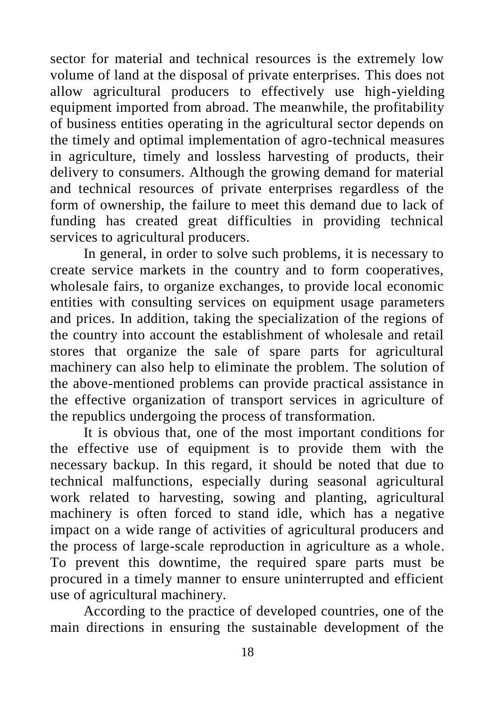sector for material and technical resources is the extremely low volume of land at the disposal of private enterprises. This does not allow agricultural producers to effectively use high-yielding equipment imported from abroad. The meanwhile, the profitability of business entities operating in the agricultural sector depends on the timely and optimal implementation of agro-technical measures in agriculture, timely and lossless harvesting of products, their delivery to consumers. Although the growing demand for material and technical resources of private enterprises regardless of the form of ownership, the failure to meet this demand due to lack of funding has created great difficulties in providing technical services to agricultural producers.

In general, in order to solve such problems, it is necessary to create service markets in the country and to form cooperatives, wholesale fairs, to organize exchanges, to provide local economic entities with consulting services on equipment usage parameters and prices. In addition, taking the specialization of the regions of the country into account the establishment of wholesale and retail stores that organize the sale of spare parts for agricultural machinery can also help to eliminate the problem. The solution of the above-mentioned problems can provide practical assistance in the effective organization of transport services in agriculture of the republics undergoing the process of transformation.

It is obvious that, one of the most important conditions for the effective use of equipment is to provide them with the necessary backup. In this regard, it should be noted that due to technical malfunctions, especially during seasonal agricultural work related to harvesting, sowing and planting, agricultural machinery is often forced to stand idle, which has a negative impact on a wide range of activities of agricultural producers and the process of large-scale reproduction in agriculture as a whole. To prevent this downtime, the required spare parts must be procured in a timely manner to ensure uninterrupted and efficient use of agricultural machinery.

According to the practice of developed countries, one of the main directions in ensuring the sustainable development of the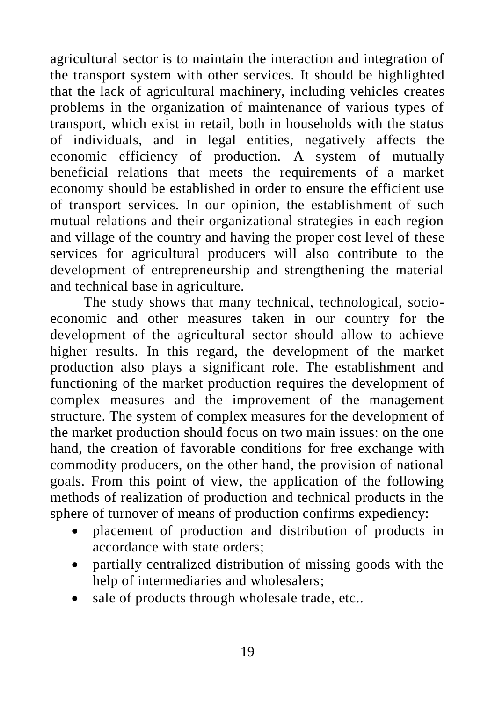agricultural sector is to maintain the interaction and integration of the transport system with other services. It should be highlighted that the lack of agricultural machinery, including vehicles creates problems in the organization of maintenance of various types of transport, which exist in retail, both in households with the status of individuals, and in legal entities, negatively affects the economic efficiency of production. A system of mutually beneficial relations that meets the requirements of a market economy should be established in order to ensure the efficient use of transport services. In our opinion, the establishment of such mutual relations and their organizational strategies in each region and village of the country and having the proper cost level of these services for agricultural producers will also contribute to the development of entrepreneurship and strengthening the material and technical base in agriculture.

The study shows that many technical, technological, socioeconomic and other measures taken in our country for the development of the agricultural sector should allow to achieve higher results. In this regard, the development of the market production also plays a significant role. The establishment and functioning of the market production requires the development of complex measures and the improvement of the management structure. The system of complex measures for the development of the market production should focus on two main issues: on the one hand, the creation of favorable conditions for free exchange with commodity producers, on the other hand, the provision of national goals. From this point of view, the application of the following methods of realization of production and technical products in the sphere of turnover of means of production confirms expediency:

- placement of production and distribution of products in accordance with state orders;
- partially centralized distribution of missing goods with the help of intermediaries and wholesalers;
- sale of products through wholesale trade, etc..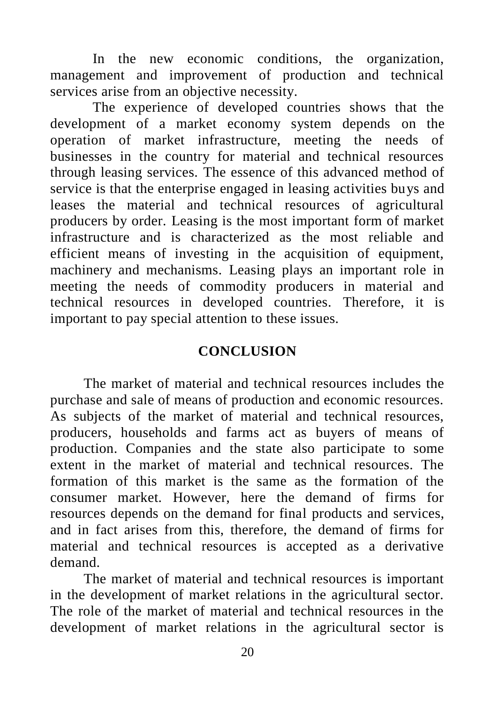In the new economic conditions, the organization, management and improvement of production and technical services arise from an objective necessity.

The experience of developed countries shows that the development of a market economy system depends on the operation of market infrastructure, meeting the needs of businesses in the country for material and technical resources through leasing services. The essence of this advanced method of service is that the enterprise engaged in leasing activities buys and leases the material and technical resources of agricultural producers by order. Leasing is the most important form of market infrastructure and is characterized as the most reliable and efficient means of investing in the acquisition of equipment, machinery and mechanisms. Leasing plays an important role in meeting the needs of commodity producers in material and technical resources in developed countries. Therefore, it is important to pay special attention to these issues.

## **CONCLUSION**

The market of material and technical resources includes the purchase and sale of means of production and economic resources. As subjects of the market of material and technical resources, producers, households and farms act as buyers of means of production. Companies and the state also participate to some extent in the market of material and technical resources. The formation of this market is the same as the formation of the consumer market. However, here the demand of firms for resources depends on the demand for final products and services, and in fact arises from this, therefore, the demand of firms for material and technical resources is accepted as a derivative demand.

The market of material and technical resources is important in the development of market relations in the agricultural sector. The role of the market of material and technical resources in the development of market relations in the agricultural sector is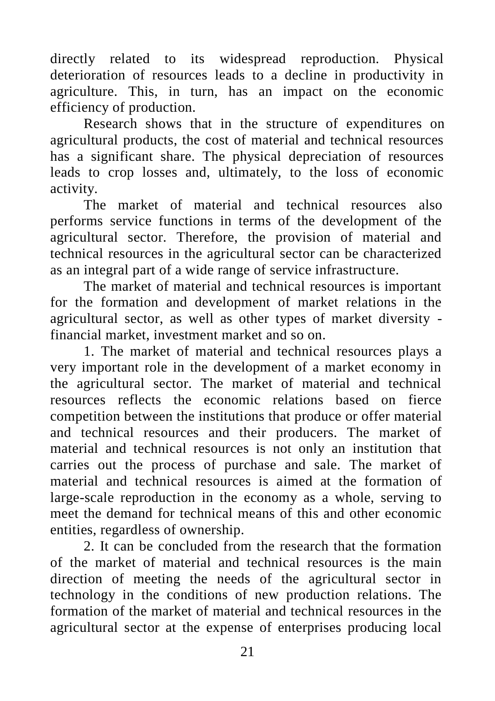directly related to its widespread reproduction. Physical deterioration of resources leads to a decline in productivity in agriculture. This, in turn, has an impact on the economic efficiency of production.

Research shows that in the structure of expenditures on agricultural products, the cost of material and technical resources has a significant share. The physical depreciation of resources leads to crop losses and, ultimately, to the loss of economic activity.

The market of material and technical resources also performs service functions in terms of the development of the agricultural sector. Therefore, the provision of material and technical resources in the agricultural sector can be characterized as an integral part of a wide range of service infrastructure.

The market of material and technical resources is important for the formation and development of market relations in the agricultural sector, as well as other types of market diversity financial market, investment market and so on.

1. The market of material and technical resources plays a very important role in the development of a market economy in the agricultural sector. The market of material and technical resources reflects the economic relations based on fierce competition between the institutions that produce or offer material and technical resources and their producers. The market of material and technical resources is not only an institution that carries out the process of purchase and sale. The market of material and technical resources is aimed at the formation of large-scale reproduction in the economy as a whole, serving to meet the demand for technical means of this and other economic entities, regardless of ownership.

2. It can be concluded from the research that the formation of the market of material and technical resources is the main direction of meeting the needs of the agricultural sector in technology in the conditions of new production relations. The formation of the market of material and technical resources in the agricultural sector at the expense of enterprises producing local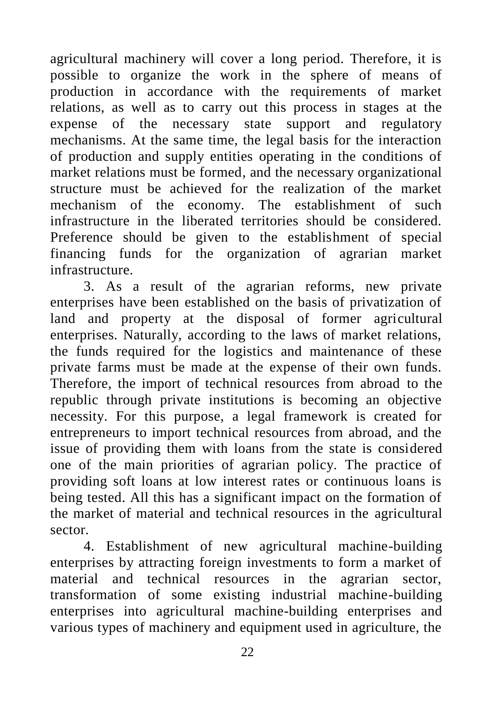agricultural machinery will cover a long period. Therefore, it is possible to organize the work in the sphere of means of production in accordance with the requirements of market relations, as well as to carry out this process in stages at the expense of the necessary state support and regulatory mechanisms. At the same time, the legal basis for the interaction of production and supply entities operating in the conditions of market relations must be formed, and the necessary organizational structure must be achieved for the realization of the market mechanism of the economy. The establishment of such infrastructure in the liberated territories should be considered. Preference should be given to the establishment of special financing funds for the organization of agrarian market infrastructure.

3. As a result of the agrarian reforms, new private enterprises have been established on the basis of privatization of land and property at the disposal of former agricultural enterprises. Naturally, according to the laws of market relations, the funds required for the logistics and maintenance of these private farms must be made at the expense of their own funds. Therefore, the import of technical resources from abroad to the republic through private institutions is becoming an objective necessity. For this purpose, a legal framework is created for entrepreneurs to import technical resources from abroad, and the issue of providing them with loans from the state is considered one of the main priorities of agrarian policy. The practice of providing soft loans at low interest rates or continuous loans is being tested. All this has a significant impact on the formation of the market of material and technical resources in the agricultural sector.

4. Establishment of new agricultural machine-building enterprises by attracting foreign investments to form a market of material and technical resources in the agrarian sector, transformation of some existing industrial machine-building enterprises into agricultural machine-building enterprises and various types of machinery and equipment used in agriculture, the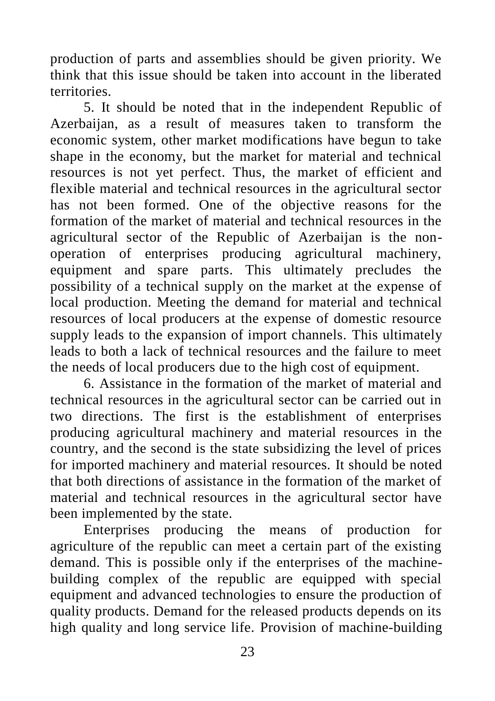production of parts and assemblies should be given priority. We think that this issue should be taken into account in the liberated territories.

5. It should be noted that in the independent Republic of Azerbaijan, as a result of measures taken to transform the economic system, other market modifications have begun to take shape in the economy, but the market for material and technical resources is not yet perfect. Thus, the market of efficient and flexible material and technical resources in the agricultural sector has not been formed. One of the objective reasons for the formation of the market of material and technical resources in the agricultural sector of the Republic of Azerbaijan is the nonoperation of enterprises producing agricultural machinery, equipment and spare parts. This ultimately precludes the possibility of a technical supply on the market at the expense of local production. Meeting the demand for material and technical resources of local producers at the expense of domestic resource supply leads to the expansion of import channels. This ultimately leads to both a lack of technical resources and the failure to meet the needs of local producers due to the high cost of equipment.

6. Assistance in the formation of the market of material and technical resources in the agricultural sector can be carried out in two directions. The first is the establishment of enterprises producing agricultural machinery and material resources in the country, and the second is the state subsidizing the level of prices for imported machinery and material resources. It should be noted that both directions of assistance in the formation of the market of material and technical resources in the agricultural sector have been implemented by the state.

Enterprises producing the means of production for agriculture of the republic can meet a certain part of the existing demand. This is possible only if the enterprises of the machinebuilding complex of the republic are equipped with special equipment and advanced technologies to ensure the production of quality products. Demand for the released products depends on its high quality and long service life. Provision of machine-building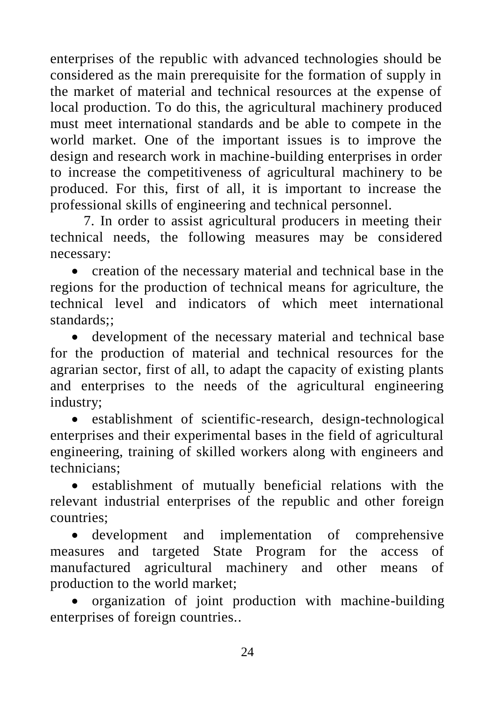enterprises of the republic with advanced technologies should be considered as the main prerequisite for the formation of supply in the market of material and technical resources at the expense of local production. To do this, the agricultural machinery produced must meet international standards and be able to compete in the world market. One of the important issues is to improve the design and research work in machine-building enterprises in order to increase the competitiveness of agricultural machinery to be produced. For this, first of all, it is important to increase the professional skills of engineering and technical personnel.

7. In order to assist agricultural producers in meeting their technical needs, the following measures may be considered necessary:

• creation of the necessary material and technical base in the regions for the production of technical means for agriculture, the technical level and indicators of which meet international  $standards$ ;

• development of the necessary material and technical base for the production of material and technical resources for the agrarian sector, first of all, to adapt the capacity of existing plants and enterprises to the needs of the agricultural engineering industry;

• establishment of scientific-research, design-technological enterprises and their experimental bases in the field of agricultural engineering, training of skilled workers along with engineers and technicians;

• establishment of mutually beneficial relations with the relevant industrial enterprises of the republic and other foreign countries;

• development and implementation of comprehensive measures and targeted State Program for the access of manufactured agricultural machinery and other means of production to the world market;

• organization of joint production with machine-building enterprises of foreign countries..

24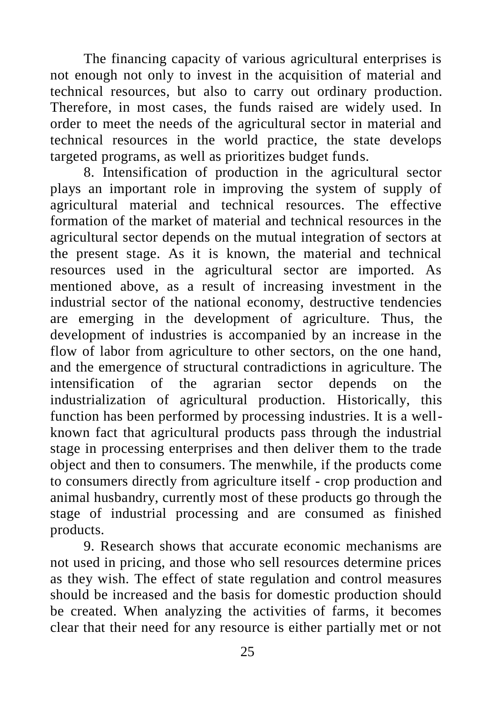The financing capacity of various agricultural enterprises is not enough not only to invest in the acquisition of material and technical resources, but also to carry out ordinary production. Therefore, in most cases, the funds raised are widely used. In order to meet the needs of the agricultural sector in material and technical resources in the world practice, the state develops targeted programs, as well as prioritizes budget funds.

8. Intensification of production in the agricultural sector plays an important role in improving the system of supply of agricultural material and technical resources. The effective formation of the market of material and technical resources in the agricultural sector depends on the mutual integration of sectors at the present stage. As it is known, the material and technical resources used in the agricultural sector are imported. As mentioned above, as a result of increasing investment in the industrial sector of the national economy, destructive tendencies are emerging in the development of agriculture. Thus, the development of industries is accompanied by an increase in the flow of labor from agriculture to other sectors, on the one hand, and the emergence of structural contradictions in agriculture. The intensification of the agrarian sector depends on the industrialization of agricultural production. Historically, this function has been performed by processing industries. It is a wellknown fact that agricultural products pass through the industrial stage in processing enterprises and then deliver them to the trade object and then to consumers. The menwhile, if the products come to consumers directly from agriculture itself - crop production and animal husbandry, currently most of these products go through the stage of industrial processing and are consumed as finished products.

9. Research shows that accurate economic mechanisms are not used in pricing, and those who sell resources determine prices as they wish. The effect of state regulation and control measures should be increased and the basis for domestic production should be created. When analyzing the activities of farms, it becomes clear that their need for any resource is either partially met or not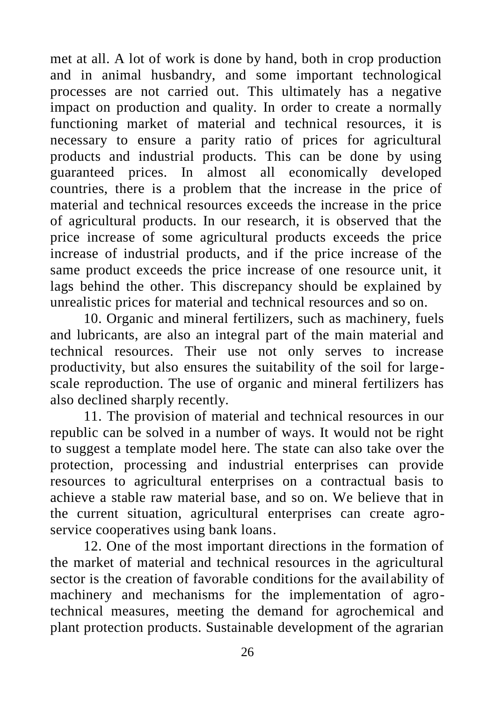met at all. A lot of work is done by hand, both in crop production and in animal husbandry, and some important technological processes are not carried out. This ultimately has a negative impact on production and quality. In order to create a normally functioning market of material and technical resources, it is necessary to ensure a parity ratio of prices for agricultural products and industrial products. This can be done by using guaranteed prices. In almost all economically developed countries, there is a problem that the increase in the price of material and technical resources exceeds the increase in the price of agricultural products. In our research, it is observed that the price increase of some agricultural products exceeds the price increase of industrial products, and if the price increase of the same product exceeds the price increase of one resource unit, it lags behind the other. This discrepancy should be explained by unrealistic prices for material and technical resources and so on.

10. Organic and mineral fertilizers, such as machinery, fuels and lubricants, are also an integral part of the main material and technical resources. Their use not only serves to increase productivity, but also ensures the suitability of the soil for largescale reproduction. The use of organic and mineral fertilizers has also declined sharply recently.

11. The provision of material and technical resources in our republic can be solved in a number of ways. It would not be right to suggest a template model here. The state can also take over the protection, processing and industrial enterprises can provide resources to agricultural enterprises on a contractual basis to achieve a stable raw material base, and so on. We believe that in the current situation, agricultural enterprises can create agroservice cooperatives using bank loans.

12. One of the most important directions in the formation of the market of material and technical resources in the agricultural sector is the creation of favorable conditions for the availability of machinery and mechanisms for the implementation of agrotechnical measures, meeting the demand for agrochemical and plant protection products. Sustainable development of the agrarian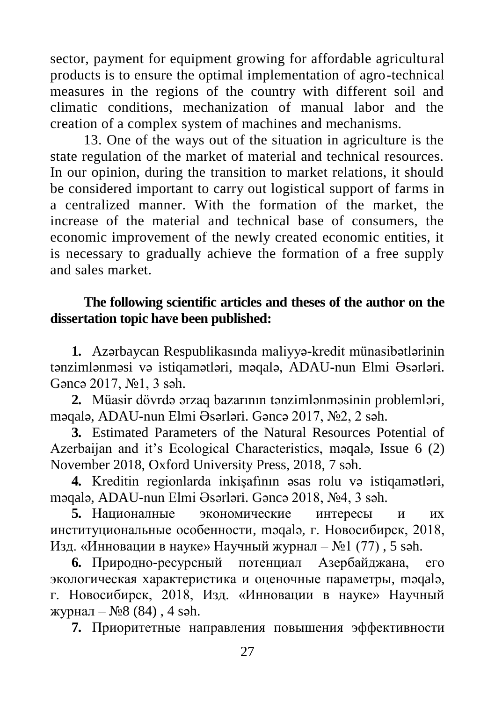sector, payment for equipment growing for affordable agricultural products is to ensure the optimal implementation of agro-technical measures in the regions of the country with different soil and climatic conditions, mechanization of manual labor and the creation of a complex system of machines and mechanisms.

13. One of the ways out of the situation in agriculture is the state regulation of the market of material and technical resources. In our opinion, during the transition to market relations, it should be considered important to carry out logistical support of farms in a centralized manner. With the formation of the market, the increase of the material and technical base of consumers, the economic improvement of the newly created economic entities, it is necessary to gradually achieve the formation of a free supply and sales market.

#### **The following scientific articles and theses of the author on the dissertation topic have been published:**

**1.** Azərbaycan Respublikasında maliyyə-kredit münasibətlərinin tənzimlənməsi və istiqamətləri, məqalə, ADAU-nun Elmi Əsərləri. Gəncə 2017, №1, 3 səh.

**2.** Müasir dövrdə ərzaq bazarının tənzimlənməsinin problemləri, məqalə, ADAU-nun Elmi Əsərləri. Gəncə 2017, №2, 2 səh.

**3.** Estimated Parameters of the Natural Resources Potential of Azerbaijan and it's Ecological Characteristics, məqalə, Issue 6 (2) November 2018, Oxford University Press, 2018, 7 səh.

**4.** Kreditin regionlarda inkişafının əsas rolu və istiqamətləri, məqalə, ADAU-nun Elmi Əsərləri. Gəncə 2018, №4, 3 səh.

**5.** Националные экономические интересы и их институциональные особенности, məqalə, г. Новосибирск, 2018, Изд. «Инновации в науке» Научный журнал – №1 (77) , 5 səh.

**6.** Природно-ресурсный потенциал Азербайджана, его экологическая характеристика и оценочные параметры, məqalə, г. Новосибирск, 2018, Изд. «Инновации в науке» Научный журнал – №8 (84) , 4 səh.

**7.** Приоритетные направления повышения эффективности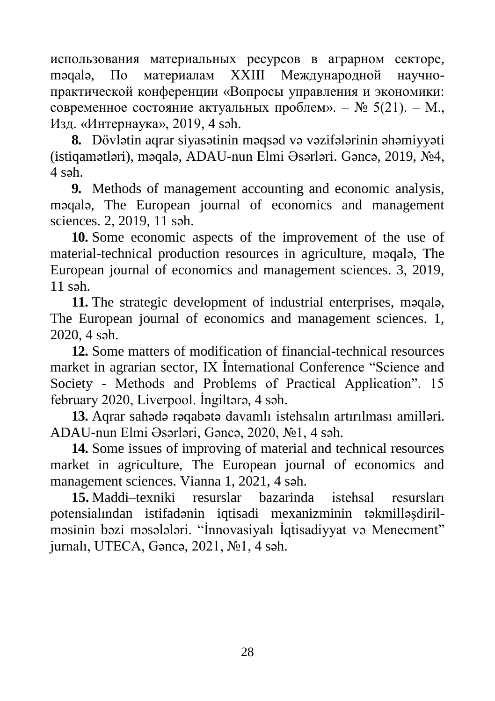использования материальных ресурсов в аграрном секторе, məqalə, По материалам XXIII Международной научнопрактической конференции «Вопросы управления и экономики: современное состояние актуальных проблем». –  $N_2$  5(21). – M., Изд. «Интернаука», 2019, 4 səh.

**8.** Dövlətin aqrar siyasətinin məqsəd və vəzifələrinin əhəmiyyəti (istiqamətləri), məqalə, ADAU-nun Elmi Əsərləri. Gəncə, 2019, №4,  $4$  səh.

**9.** Methods of management accounting and economic analysis, məqalə, The European journal of economics and management sciences. 2, 2019, 11 səh.

**10.** Some economic aspects of the improvement of the use of material-technical production resources in agriculture, məqalə, The European journal of economics and management sciences. 3, 2019,  $11$  səh.

**11.** The strategic development of industrial enterprises, məqalə, The European journal of economics and management sciences. 1, 2020, 4 səh.

**12.** Some matters of modification of financial-technical resources market in agrarian sector, IX İnternational Conference "Science and Society - Methods and Problems of Practical Application". 15 february 2020, Liverpool. İngiltərə, 4 səh.

**13.** Aqrar sahədə rəqabətə davamlı istehsalın artırılması amilləri. ADAU-nun Elmi Əsərləri, Gəncə, 2020, №1, 4 səh.

**14.** Some issues of improving of material and technical resources market in agriculture, The European journal of economics and management sciences. Vianna 1, 2021, 4 səh.

**15.** Maddi–texniki resurslar bazarinda istehsal resursları potensialından istifadənin iqtisadi mexanizminin təkmilləşdirilməsinin bəzi məsələləri. "İnnovasiyalı İqtisadiyyat və Menecment" jurnalı, UTECA, Gəncə, 2021, №1, 4 səh.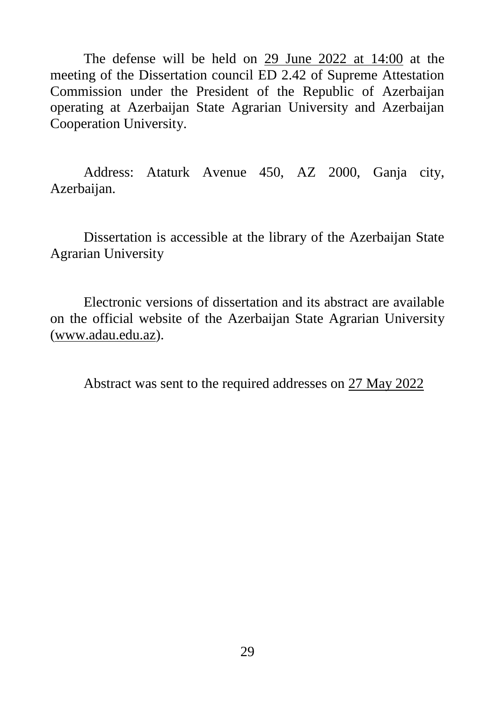The defense will be held on 29 June 2022 at 14:00 at the meeting of the Dissertation council ED 2.42 of Supreme Attestation Commission under the President of the Republic of Azerbaijan operating at Azerbaijan State Agrarian University and Azerbaijan Cooperation University.

Address: Ataturk Avenue 450, AZ 2000, Ganja city, Azerbaijan.

Dissertation is accessible at the library of the Azerbaijan State Agrarian University

Electronic versions of dissertation and its abstract are available on the official website of the Azerbaijan State Agrarian University [\(www.adau.edu.az\)](http://www.adau.edu.az/).

Abstract was sent to the required addresses on 27 May 2022